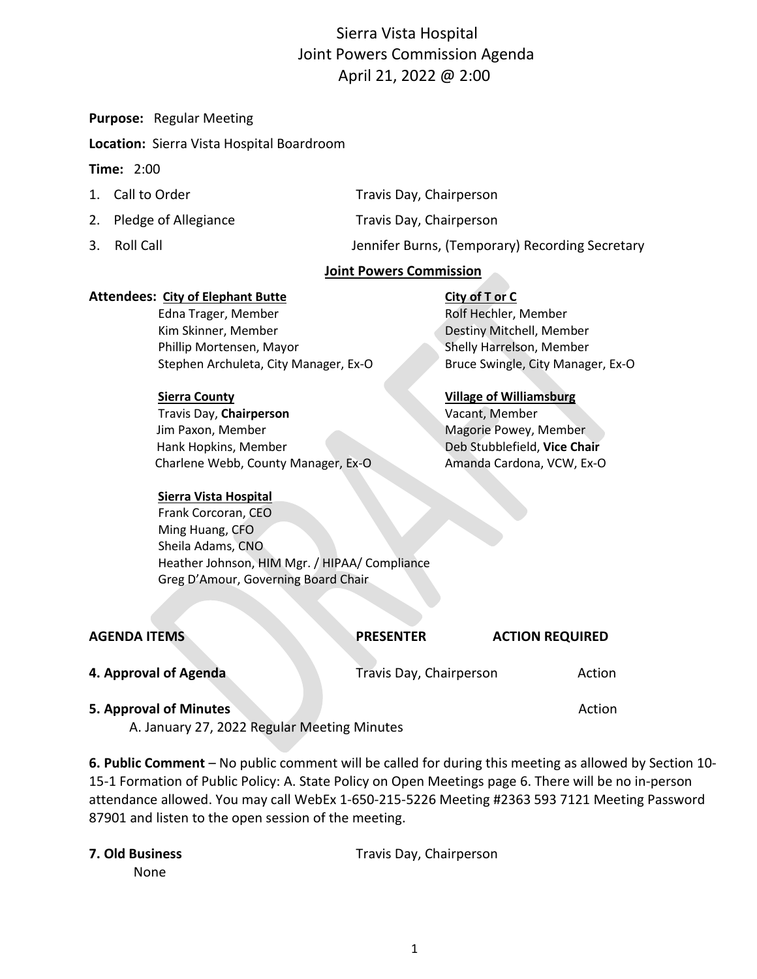# Sierra Vista Hospital Joint Powers Commission Agenda April 21, 2022 @ 2:00

**Purpose:** Regular Meeting

**Location:** Sierra Vista Hospital Boardroom

### **Time:** 2:00

| 1. Call to Order        | Travis Day, Chairperson |
|-------------------------|-------------------------|
| 2. Pledge of Allegiance | Travis Day, Chairperson |

3. Roll Call Jennifer Burns, (Temporary) Recording Secretary

### **Joint Powers Commission**

### **Attendees: City of Elephant Butte City of T or C**

Edna Trager, Member Rolf Hechler, Member Kim Skinner, Member **National Accord Contract Contract Contract Contract Contract Contract Contract Contract Contract Contract Contract Contract Contract Contract Contract Contract Contract Contract Contract Contract Contr** Phillip Mortensen, Mayor Shelly Harrelson, Member Stephen Archuleta, City Manager, Ex-O Bruce Swingle, City Manager, Ex-O

Travis Day, **Chairperson** Vacant, Member Jim Paxon, Member Magorie Powey, Member Magorie Powey, Member Hank Hopkins, Member Deb Stubblefield, **Vice Chair** Charlene Webb, County Manager, Ex-O Amanda Cardona, VCW, Ex-O

# **Sierra County Village of Williamsburg**

### **Sierra Vista Hospital**

 Frank Corcoran, CEO Ming Huang, CFO Sheila Adams, CNO Heather Johnson, HIM Mgr. / HIPAA/ Compliance Greg D'Amour, Governing Board Chair

| <b>AGENDA ITEMS</b>                                                   | <b>PRESENTER</b>        | <b>ACTION REQUIRED</b> |
|-----------------------------------------------------------------------|-------------------------|------------------------|
| 4. Approval of Agenda                                                 | Travis Day, Chairperson | Action                 |
| 5. Approval of Minutes<br>A. January 27, 2022 Regular Meeting Minutes |                         | Action                 |

**6. Public Comment** – No public comment will be called for during this meeting as allowed by Section 10- 15-1 Formation of Public Policy: A. State Policy on Open Meetings page 6. There will be no in-person attendance allowed. You may call WebEx 1-650-215-5226 Meeting #2363 593 7121 Meeting Password 87901 and listen to the open session of the meeting.

| 7. Old Business | Travis Day, Chairperson |
|-----------------|-------------------------|
| None            |                         |